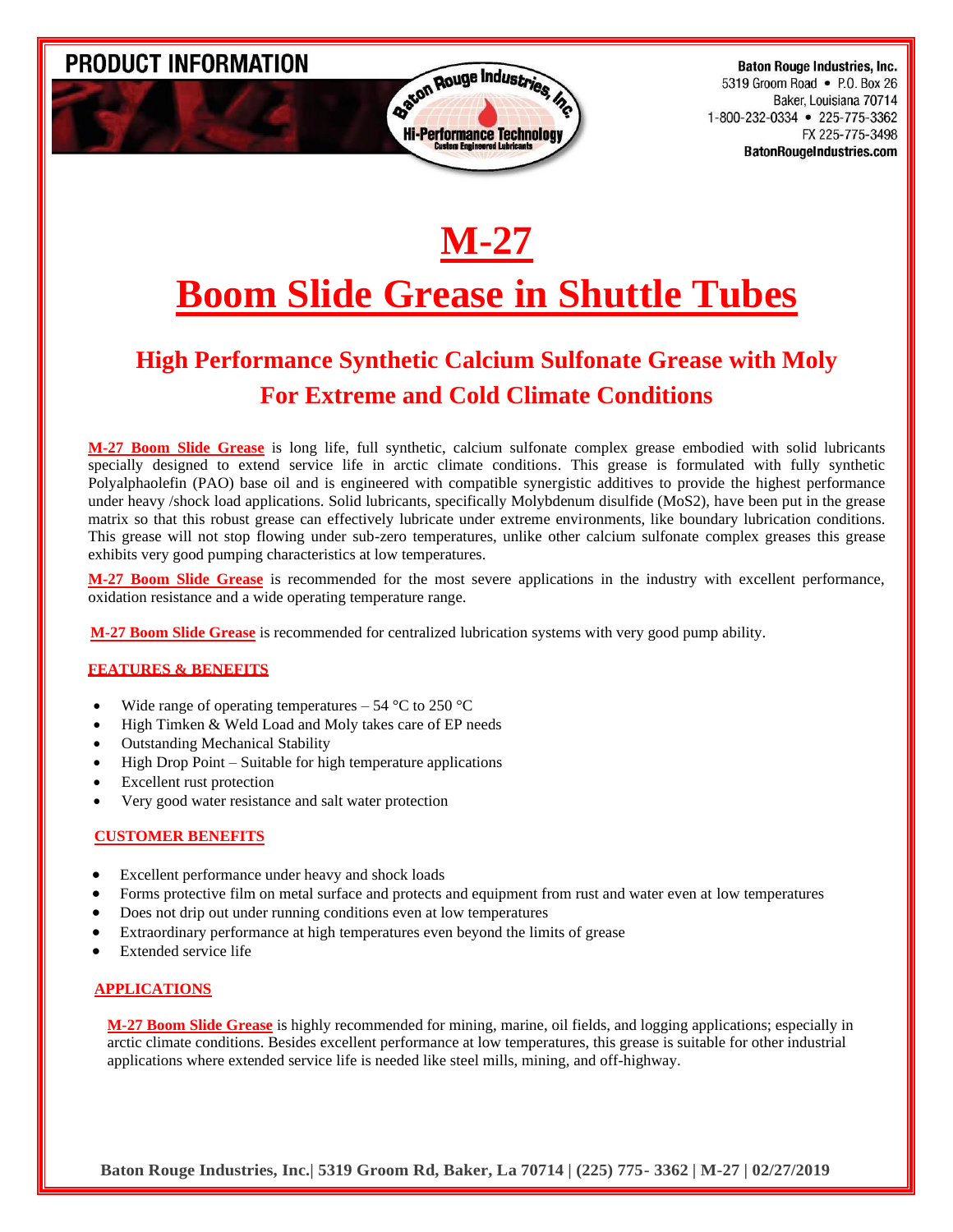PRODUCT INFORMATION



**Baton Rouge Industries, Inc.** 5319 Groom Road • P.O. Box 26 Baker, Louisiana 70714 1-800-232-0334 • 225-775-3362 FX 225-775-3498 **BatonRougeIndustries.com** 

# **M-27**

## **Boom Slide Grease in Shuttle Tubes**

## **High Performance Synthetic Calcium Sulfonate Grease with Moly For Extreme and Cold Climate Conditions**

**M-27 Boom Slide Grease** is long life, full synthetic, calcium sulfonate complex grease embodied with solid lubricants specially designed to extend service life in arctic climate conditions. This grease is formulated with fully synthetic Polyalphaolefin (PAO) base oil and is engineered with compatible synergistic additives to provide the highest performance under heavy /shock load applications. Solid lubricants, specifically Molybdenum disulfide (MoS2), have been put in the grease matrix so that this robust grease can effectively lubricate under extreme environments, like boundary lubrication conditions. This grease will not stop flowing under sub-zero temperatures, unlike other calcium sulfonate complex greases this grease exhibits very good pumping characteristics at low temperatures.

**M-27 Boom Slide Grease** is recommended for the most severe applications in the industry with excellent performance, oxidation resistance and a wide operating temperature range.

 **M-27 Boom Slide Grease** is recommended for centralized lubrication systems with very good pump ability.

#### **FEATURES & BENEFITS**

- Wide range of operating temperatures 54  $^{\circ}$ C to 250  $^{\circ}$ C
- High Timken & Weld Load and Moly takes care of EP needs
- Outstanding Mechanical Stability
- High Drop Point Suitable for high temperature applications
- Excellent rust protection
- Very good water resistance and salt water protection

#### **CUSTOMER BENEFITS**

- Excellent performance under heavy and shock loads
- Forms protective film on metal surface and protects and equipment from rust and water even at low temperatures
- Does not drip out under running conditions even at low temperatures
- Extraordinary performance at high temperatures even beyond the limits of grease
- Extended service life

#### **APPLICATIONS**

**M-27 Boom Slide Grease** is highly recommended for mining, marine, oil fields, and logging applications; especially in arctic climate conditions. Besides excellent performance at low temperatures, this grease is suitable for other industrial applications where extended service life is needed like steel mills, mining, and off-highway.

**Baton Rouge Industries, Inc.| 5319 Groom Rd, Baker, La 70714 | (225) 775- 3362 | M-27 | 02/27/2019**